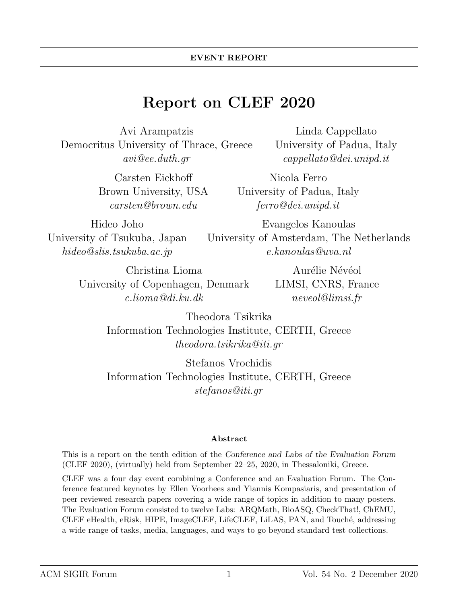# Report on CLEF 2020

Avi Arampatzis Democritus University of Thrace, Greece avi@ee.duth.gr

> Carsten Eickhoff Brown University, USA carsten@brown.edu

Hideo Joho University of Tsukuba, Japan hideo@slis.tsukuba.ac.jp

Linda Cappellato University of Padua, Italy cappellato@dei.unipd.it

Nicola Ferro University of Padua, Italy ferro@dei.unipd.it

Evangelos Kanoulas University of Amsterdam, The Netherlands e.kanoulas@uva.nl

Christina Lioma University of Copenhagen, Denmark c.lioma@di.ku.dk

Aurélie Névéol LIMSI, CNRS, France neveol@limsi.fr

Theodora Tsikrika Information Technologies Institute, CERTH, Greece theodora.tsikrika@iti.gr

Stefanos Vrochidis Information Technologies Institute, CERTH, Greece stefanos@iti.gr

#### Abstract

This is a report on the tenth edition of the Conference and Labs of the Evaluation Forum (CLEF 2020), (virtually) held from September 22–25, 2020, in Thessaloniki, Greece.

CLEF was a four day event combining a Conference and an Evaluation Forum. The Conference featured keynotes by Ellen Voorhees and Yiannis Kompasiaris, and presentation of peer reviewed research papers covering a wide range of topics in addition to many posters. The Evaluation Forum consisted to twelve Labs: ARQMath, BioASQ, CheckThat!, ChEMU, CLEF eHealth, eRisk, HIPE, ImageCLEF, LifeCLEF, LiLAS, PAN, and Touch´e, addressing a wide range of tasks, media, languages, and ways to go beyond standard test collections.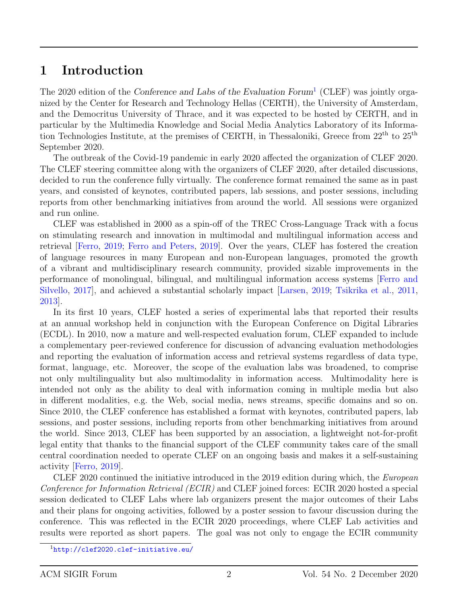### 1 Introduction

The 2020 edition of the Conference and Labs of the Evaluation Forum<sup>[1](#page-1-0)</sup> (CLEF) was jointly organized by the Center for Research and Technology Hellas (CERTH), the University of Amsterdam, and the Democritus University of Thrace, and it was expected to be hosted by CERTH, and in particular by the Multimedia Knowledge and Social Media Analytics Laboratory of its Information Technologies Institute, at the premises of CERTH, in Thessaloniki, Greece from 22th to 25th September 2020.

The outbreak of the Covid-19 pandemic in early 2020 affected the organization of CLEF 2020. The CLEF steering committee along with the organizers of CLEF 2020, after detailed discussions, decided to run the conference fully virtually. The conference format remained the same as in past years, and consisted of keynotes, contributed papers, lab sessions, and poster sessions, including reports from other benchmarking initiatives from around the world. All sessions were organized and run online.

CLEF was established in 2000 as a spin-off of the TREC Cross-Language Track with a focus on stimulating research and innovation in multimodal and multilingual information access and retrieval [\[Ferro,](#page-8-0) [2019;](#page-8-0) [Ferro and Peters,](#page-8-1) [2019\]](#page-8-1). Over the years, CLEF has fostered the creation of language resources in many European and non-European languages, promoted the growth of a vibrant and multidisciplinary research community, provided sizable improvements in the performance of monolingual, bilingual, and multilingual information access systems [\[Ferro and](#page-8-2) [Silvello,](#page-8-2) [2017\]](#page-8-2), and achieved a substantial scholarly impact [\[Larsen,](#page-9-0) [2019;](#page-9-0) [Tsikrika et al.,](#page-9-1) [2011,](#page-9-1) [2013\]](#page-9-2).

In its first 10 years, CLEF hosted a series of experimental labs that reported their results at an annual workshop held in conjunction with the European Conference on Digital Libraries (ECDL). In 2010, now a mature and well-respected evaluation forum, CLEF expanded to include a complementary peer-reviewed conference for discussion of advancing evaluation methodologies and reporting the evaluation of information access and retrieval systems regardless of data type, format, language, etc. Moreover, the scope of the evaluation labs was broadened, to comprise not only multilinguality but also multimodality in information access. Multimodality here is intended not only as the ability to deal with information coming in multiple media but also in different modalities, e.g. the Web, social media, news streams, specific domains and so on. Since 2010, the CLEF conference has established a format with keynotes, contributed papers, lab sessions, and poster sessions, including reports from other benchmarking initiatives from around the world. Since 2013, CLEF has been supported by an association, a lightweight not-for-profit legal entity that thanks to the financial support of the CLEF community takes care of the small central coordination needed to operate CLEF on an ongoing basis and makes it a self-sustaining activity [\[Ferro,](#page-8-0) [2019\]](#page-8-0).

CLEF 2020 continued the initiative introduced in the 2019 edition during which, the European Conference for Information Retrieval (ECIR) and CLEF joined forces: ECIR 2020 hosted a special session dedicated to CLEF Labs where lab organizers present the major outcomes of their Labs and their plans for ongoing activities, followed by a poster session to favour discussion during the conference. This was reflected in the ECIR 2020 proceedings, where CLEF Lab activities and results were reported as short papers. The goal was not only to engage the ECIR community

<span id="page-1-0"></span><sup>1</sup><http://clef2020.clef-initiative.eu/>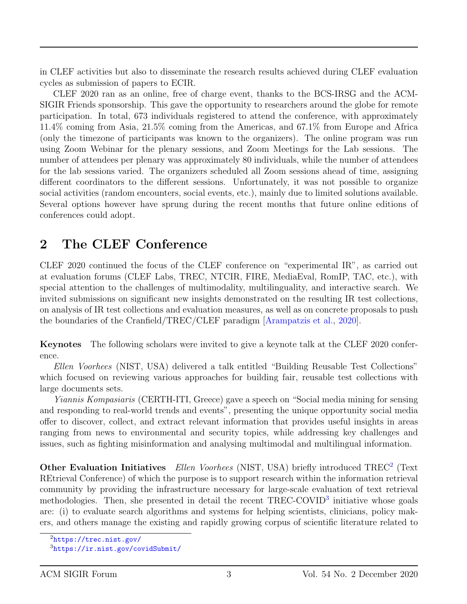in CLEF activities but also to disseminate the research results achieved during CLEF evaluation cycles as submission of papers to ECIR.

CLEF 2020 ran as an online, free of charge event, thanks to the BCS-IRSG and the ACM-SIGIR Friends sponsorship. This gave the opportunity to researchers around the globe for remote participation. In total, 673 individuals registered to attend the conference, with approximately 11.4% coming from Asia, 21.5% coming from the Americas, and 67.1% from Europe and Africa (only the timezone of participants was known to the organizers). The online program was run using Zoom Webinar for the plenary sessions, and Zoom Meetings for the Lab sessions. The number of attendees per plenary was approximately 80 individuals, while the number of attendees for the lab sessions varied. The organizers scheduled all Zoom sessions ahead of time, assigning different coordinators to the different sessions. Unfortunately, it was not possible to organize social activities (random encounters, social events, etc.), mainly due to limited solutions available. Several options however have sprung during the recent months that future online editions of conferences could adopt.

# 2 The CLEF Conference

CLEF 2020 continued the focus of the CLEF conference on "experimental IR", as carried out at evaluation forums (CLEF Labs, TREC, NTCIR, FIRE, MediaEval, RomIP, TAC, etc.), with special attention to the challenges of multimodality, multilinguality, and interactive search. We invited submissions on significant new insights demonstrated on the resulting IR test collections, on analysis of IR test collections and evaluation measures, as well as on concrete proposals to push the boundaries of the Cranfield/TREC/CLEF paradigm [\[Arampatzis et al.,](#page-8-3) [2020\]](#page-8-3).

Keynotes The following scholars were invited to give a keynote talk at the CLEF 2020 conference.

Ellen Voorhees (NIST, USA) delivered a talk entitled "Building Reusable Test Collections" which focused on reviewing various approaches for building fair, reusable test collections with large documents sets.

Yiannis Kompasiaris (CERTH-ITI, Greece) gave a speech on "Social media mining for sensing and responding to real-world trends and events", presenting the unique opportunity social media offer to discover, collect, and extract relevant information that provides useful insights in areas ranging from news to environmental and security topics, while addressing key challenges and issues, such as fighting misinformation and analysing multimodal and multilingual information.

Other Evaluation Initiatives Ellen Voorhees (NIST, USA) briefly introduced TREC<sup>[2](#page-2-0)</sup> (Text REtrieval Conference) of which the purpose is to support research within the information retrieval community by providing the infrastructure necessary for large-scale evaluation of text retrieval methodologies. Then, she presented in detail the recent TREC-COVID<sup>[3](#page-2-1)</sup> initiative whose goals are: (i) to evaluate search algorithms and systems for helping scientists, clinicians, policy makers, and others manage the existing and rapidly growing corpus of scientific literature related to

<span id="page-2-0"></span><sup>2</sup><https://trec.nist.gov/>

<span id="page-2-1"></span><sup>3</sup><https://ir.nist.gov/covidSubmit/>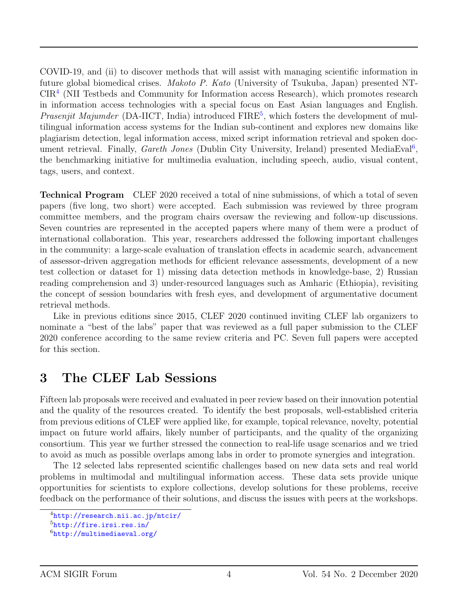COVID-19, and (ii) to discover methods that will assist with managing scientific information in future global biomedical crises. Makoto P. Kato (University of Tsukuba, Japan) presented NT-CIR[4](#page-3-0) (NII Testbeds and Community for Information access Research), which promotes research in information access technologies with a special focus on East Asian languages and English. *Prasenjit Majumder* (DA-IICT, India) introduced  $FIRE<sup>5</sup>$  $FIRE<sup>5</sup>$  $FIRE<sup>5</sup>$ , which fosters the development of multilingual information access systems for the Indian sub-continent and explores new domains like plagiarism detection, legal information access, mixed script information retrieval and spoken document retrieval. Finally, *Gareth Jones* (Dublin City University, Ireland) presented MediaEval<sup>[6](#page-3-2)</sup>, the benchmarking initiative for multimedia evaluation, including speech, audio, visual content, tags, users, and context.

Technical Program CLEF 2020 received a total of nine submissions, of which a total of seven papers (five long, two short) were accepted. Each submission was reviewed by three program committee members, and the program chairs oversaw the reviewing and follow-up discussions. Seven countries are represented in the accepted papers where many of them were a product of international collaboration. This year, researchers addressed the following important challenges in the community: a large-scale evaluation of translation effects in academic search, advancement of assessor-driven aggregation methods for efficient relevance assessments, development of a new test collection or dataset for 1) missing data detection methods in knowledge-base, 2) Russian reading comprehension and 3) under-resourced languages such as Amharic (Ethiopia), revisiting the concept of session boundaries with fresh eyes, and development of argumentative document retrieval methods.

Like in previous editions since 2015, CLEF 2020 continued inviting CLEF lab organizers to nominate a "best of the labs" paper that was reviewed as a full paper submission to the CLEF 2020 conference according to the same review criteria and PC. Seven full papers were accepted for this section.

### 3 The CLEF Lab Sessions

Fifteen lab proposals were received and evaluated in peer review based on their innovation potential and the quality of the resources created. To identify the best proposals, well-established criteria from previous editions of CLEF were applied like, for example, topical relevance, novelty, potential impact on future world affairs, likely number of participants, and the quality of the organizing consortium. This year we further stressed the connection to real-life usage scenarios and we tried to avoid as much as possible overlaps among labs in order to promote synergies and integration.

The 12 selected labs represented scientific challenges based on new data sets and real world problems in multimodal and multilingual information access. These data sets provide unique opportunities for scientists to explore collections, develop solutions for these problems, receive feedback on the performance of their solutions, and discuss the issues with peers at the workshops.

<span id="page-3-0"></span><sup>4</sup><http://research.nii.ac.jp/ntcir/>

<span id="page-3-1"></span><sup>5</sup><http://fire.irsi.res.in/>

<span id="page-3-2"></span><sup>6</sup><http://multimediaeval.org/>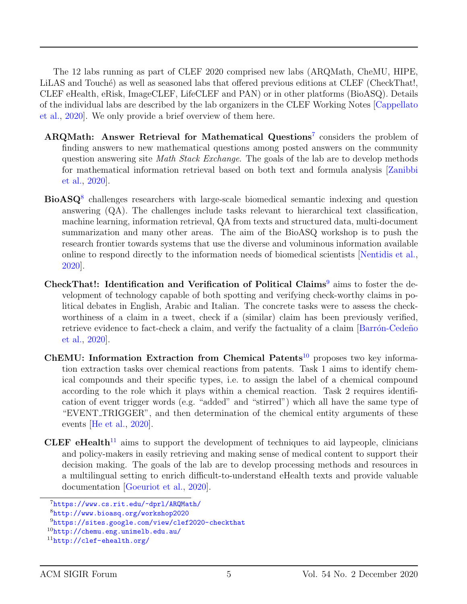The 12 labs running as part of CLEF 2020 comprised new labs (ARQMath, CheMU, HIPE, LiLAS and Touché) as well as seasoned labs that offered previous editions at CLEF (CheckThat!, CLEF eHealth, eRisk, ImageCLEF, LifeCLEF and PAN) or in other platforms (BioASQ). Details of the individual labs are described by the lab organizers in the CLEF Working Notes [\[Cappellato](#page-8-4) [et al.,](#page-8-4) [2020\]](#page-8-4). We only provide a brief overview of them here.

- ARQMath: Answer Retrieval for Mathematical Questions<sup>[7](#page-4-0)</sup> considers the problem of finding answers to new mathematical questions among posted answers on the community question answering site *Math Stack Exchange*. The goals of the lab are to develop methods for mathematical information retrieval based on both text and formula analysis [\[Zanibbi](#page-9-3) [et al.,](#page-9-3) [2020\]](#page-9-3).
- BioASQ<sup>[8](#page-4-1)</sup> challenges researchers with large-scale biomedical semantic indexing and question answering (QA). The challenges include tasks relevant to hierarchical text classification, machine learning, information retrieval, QA from texts and structured data, multi-document summarization and many other areas. The aim of the BioASQ workshop is to push the research frontier towards systems that use the diverse and voluminous information available online to respond directly to the information needs of biomedical scientists [\[Nentidis et al.,](#page-9-4) [2020\]](#page-9-4).
- CheckThat!: Identification and Verification of Political Claims<sup>[9](#page-4-2)</sup> aims to foster the development of technology capable of both spotting and verifying check-worthy claims in political debates in English, Arabic and Italian. The concrete tasks were to assess the checkworthiness of a claim in a tweet, check if a (similar) claim has been previously verified, retrieve evidence to fact-check a claim, and verify the factuality of a claim [Barrón-Cedeñon] [et al.,](#page-8-5) [2020\]](#page-8-5).
- ChEMU: Information Extraction from Chemical Patents<sup>[10](#page-4-3)</sup> proposes two key information extraction tasks over chemical reactions from patents. Task 1 aims to identify chemical compounds and their specific types, i.e. to assign the label of a chemical compound according to the role which it plays within a chemical reaction. Task 2 requires identification of event trigger words (e.g. "added" and "stirred") which all have the same type of "EVENT\_TRIGGER", and then determination of the chemical entity arguments of these events [\[He et al.,](#page-9-5) [2020\]](#page-9-5).
- CLEF eHealth<sup>[11](#page-4-4)</sup> aims to support the development of techniques to aid laypeople, clinicians and policy-makers in easily retrieving and making sense of medical content to support their decision making. The goals of the lab are to develop processing methods and resources in a multilingual setting to enrich difficult-to-understand eHealth texts and provide valuable documentation [\[Goeuriot et al.,](#page-8-6) [2020\]](#page-8-6).

<span id="page-4-0"></span><sup>7</sup><https://www.cs.rit.edu/~dprl/ARQMath/>

<span id="page-4-1"></span><sup>8</sup><http://www.bioasq.org/workshop2020>

<span id="page-4-2"></span><sup>9</sup><https://sites.google.com/view/clef2020-checkthat>

<span id="page-4-3"></span> $10$ <http://chemu.eng.unimelb.edu.au/>

<span id="page-4-4"></span><sup>11</sup><http://clef-ehealth.org/>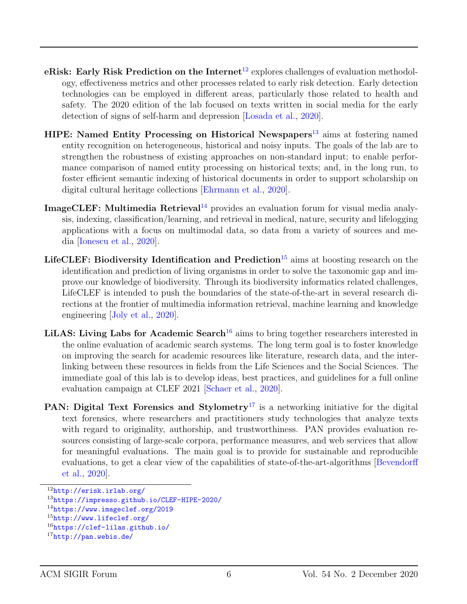- eRisk: Early Risk Prediction on the Internet<sup>[12](#page-5-0)</sup> explores challenges of evaluation methodology, effectiveness metrics and other processes related to early risk detection. Early detection technologies can be employed in different areas, particularly those related to health and safety. The 2020 edition of the lab focused on texts written in social media for the early detection of signs of self-harm and depression [\[Losada et al.,](#page-9-6) [2020\]](#page-9-6).
- HIPE: Named Entity Processing on Historical Newspapers<sup>[13](#page-5-1)</sup> aims at fostering named entity recognition on heterogeneous, historical and noisy inputs. The goals of the lab are to strengthen the robustness of existing approaches on non-standard input; to enable performance comparison of named entity processing on historical texts; and, in the long run, to foster efficient semantic indexing of historical documents in order to support scholarship on digital cultural heritage collections [\[Ehrmann et al.,](#page-8-7) [2020\]](#page-8-7).
- ImageCLEF: Multimedia Retrieval<sup>[14](#page-5-2)</sup> provides an evaluation forum for visual media analysis, indexing, classification/learning, and retrieval in medical, nature, security and lifelogging applications with a focus on multimodal data, so data from a variety of sources and media [\[Ionescu et al.,](#page-9-7) [2020\]](#page-9-7).
- LifeCLEF: Biodiversity Identification and Prediction<sup>[15](#page-5-3)</sup> aims at boosting research on the identification and prediction of living organisms in order to solve the taxonomic gap and improve our knowledge of biodiversity. Through its biodiversity informatics related challenges, LifeCLEF is intended to push the boundaries of the state-of-the-art in several research directions at the frontier of multimedia information retrieval, machine learning and knowledge engineering [\[Joly et al.,](#page-9-8) [2020\]](#page-9-8).
- LiLAS: Living Labs for Academic Search<sup>[16](#page-5-4)</sup> aims to bring together researchers interested in the online evaluation of academic search systems. The long term goal is to foster knowledge on improving the search for academic resources like literature, research data, and the interlinking between these resources in fields from the Life Sciences and the Social Sciences. The immediate goal of this lab is to develop ideas, best practices, and guidelines for a full online evaluation campaign at CLEF 2021 [\[Schaer et al.,](#page-9-9) [2020\]](#page-9-9).
- **PAN:** Digital Text Forensics and Stylometry<sup>[17](#page-5-5)</sup> is a networking initiative for the digital text forensics, where researchers and practitioners study technologies that analyze texts with regard to originality, authorship, and trustworthiness. PAN provides evaluation resources consisting of large-scale corpora, performance measures, and web services that allow for meaningful evaluations. The main goal is to provide for sustainable and reproducible evaluations, to get a clear view of the capabilities of state-of-the-art-algorithms [\[Bevendorff](#page-8-8) [et al.,](#page-8-8) [2020\]](#page-8-8).

<span id="page-5-0"></span><sup>12</sup><http://erisk.irlab.org/>

<span id="page-5-1"></span><sup>13</sup><https://impresso.github.io/CLEF-HIPE-2020/>

<span id="page-5-2"></span><sup>14</sup><https://www.imageclef.org/2019>

<span id="page-5-3"></span><sup>15</sup><http://www.lifeclef.org/>

<span id="page-5-4"></span><sup>16</sup><https://clef-lilas.github.io/>

<span id="page-5-5"></span><sup>17</sup><http://pan.webis.de/>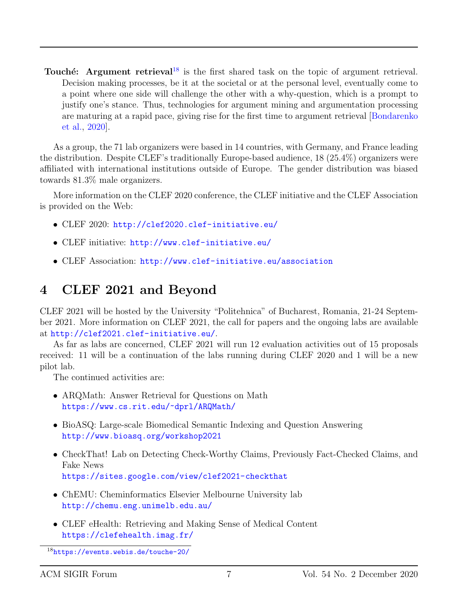Touché: Argument retrieval<sup>[18](#page-6-0)</sup> is the first shared task on the topic of argument retrieval. Decision making processes, be it at the societal or at the personal level, eventually come to a point where one side will challenge the other with a why-question, which is a prompt to justify one's stance. Thus, technologies for argument mining and argumentation processing are maturing at a rapid pace, giving rise for the first time to argument retrieval [\[Bondarenko](#page-8-9) [et al.,](#page-8-9) [2020\]](#page-8-9).

As a group, the 71 lab organizers were based in 14 countries, with Germany, and France leading the distribution. Despite CLEF's traditionally Europe-based audience, 18 (25.4%) organizers were affiliated with international institutions outside of Europe. The gender distribution was biased towards 81.3% male organizers.

More information on the CLEF 2020 conference, the CLEF initiative and the CLEF Association is provided on the Web:

- CLEF 2020: <http://clef2020.clef-initiative.eu/>
- CLEF initiative: <http://www.clef-initiative.eu/>
- CLEF Association: <http://www.clef-initiative.eu/association>

# 4 CLEF 2021 and Beyond

CLEF 2021 will be hosted by the University "Politehnica" of Bucharest, Romania, 21-24 September 2021. More information on CLEF 2021, the call for papers and the ongoing labs are available at <http://clef2021.clef-initiative.eu/>.

As far as labs are concerned, CLEF 2021 will run 12 evaluation activities out of 15 proposals received: 11 will be a continuation of the labs running during CLEF 2020 and 1 will be a new pilot lab.

The continued activities are:

- ARQMath: Answer Retrieval for Questions on Math <https://www.cs.rit.edu/~dprl/ARQMath/>
- BioASQ: Large-scale Biomedical Semantic Indexing and Question Answering <http://www.bioasq.org/workshop2021>
- CheckThat! Lab on Detecting Check-Worthy Claims, Previously Fact-Checked Claims, and Fake News <https://sites.google.com/view/clef2021-checkthat>
- ChEMU: Cheminformatics Elsevier Melbourne University lab <http://chemu.eng.unimelb.edu.au/>
- CLEF eHealth: Retrieving and Making Sense of Medical Content <https://clefehealth.imag.fr/>

<span id="page-6-0"></span><sup>18</sup><https://events.webis.de/touche-20/>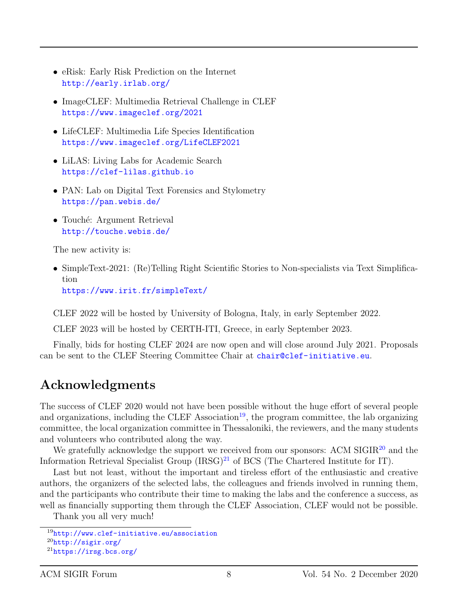- eRisk: Early Risk Prediction on the Internet <http://early.irlab.org/>
- ImageCLEF: Multimedia Retrieval Challenge in CLEF <https://www.imageclef.org/2021>
- LifeCLEF: Multimedia Life Species Identification <https://www.imageclef.org/LifeCLEF2021>
- LiLAS: Living Labs for Academic Search <https://clef-lilas.github.io>
- PAN: Lab on Digital Text Forensics and Stylometry <https://pan.webis.de/>
- Touché: Argument Retrieval <http://touche.webis.de/>

The new activity is:

• SimpleText-2021: (Re)Telling Right Scientific Stories to Non-specialists via Text Simplification

<https://www.irit.fr/simpleText/>

CLEF 2022 will be hosted by University of Bologna, Italy, in early September 2022.

CLEF 2023 will be hosted by CERTH-ITI, Greece, in early September 2023.

Finally, bids for hosting CLEF 2024 are now open and will close around July 2021. Proposals can be sent to the CLEF Steering Committee Chair at <chair@clef-initiative.eu>.

# Acknowledgments

The success of CLEF 2020 would not have been possible without the huge effort of several people and organizations, including the CLEF Association<sup>[19](#page-7-0)</sup>, the program committee, the lab organizing committee, the local organization committee in Thessaloniki, the reviewers, and the many students and volunteers who contributed along the way.

We gratefully acknowledge the support we received from our sponsors: ACM SIGIR<sup>[20](#page-7-1)</sup> and the Information Retrieval Specialist Group  $(IRSG)^{21}$  $(IRSG)^{21}$  $(IRSG)^{21}$  of BCS (The Chartered Institute for IT).

Last but not least, without the important and tireless effort of the enthusiastic and creative authors, the organizers of the selected labs, the colleagues and friends involved in running them, and the participants who contribute their time to making the labs and the conference a success, as well as financially supporting them through the CLEF Association, CLEF would not be possible.

Thank you all very much!

<span id="page-7-2"></span><span id="page-7-1"></span><span id="page-7-0"></span><sup>19</sup><http://www.clef-initiative.eu/association> <sup>20</sup><http://sigir.org/> <sup>21</sup><https://irsg.bcs.org/>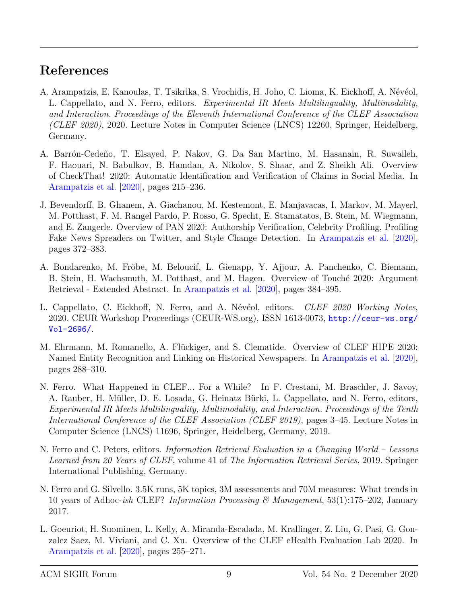## References

- <span id="page-8-3"></span>A. Arampatzis, E. Kanoulas, T. Tsikrika, S. Vrochidis, H. Joho, C. Lioma, K. Eickhoff, A. Névéol, L. Cappellato, and N. Ferro, editors. Experimental IR Meets Multilinguality, Multimodality, and Interaction. Proceedings of the Eleventh International Conference of the CLEF Association (CLEF 2020), 2020. Lecture Notes in Computer Science (LNCS) 12260, Springer, Heidelberg, Germany.
- <span id="page-8-5"></span>A. Barrón-Cedeño, T. Elsayed, P. Nakov, G. Da San Martino, M. Hasanain, R. Suwaileh, F. Haouari, N. Babulkov, B. Hamdan, A. Nikolov, S. Shaar, and Z. Sheikh Ali. Overview of CheckThat! 2020: Automatic Identification and Verification of Claims in Social Media. In [Arampatzis et al.](#page-8-3) [\[2020\]](#page-8-3), pages 215–236.
- <span id="page-8-8"></span>J. Bevendorff, B. Ghanem, A. Giachanou, M. Kestemont, E. Manjavacas, I. Markov, M. Mayerl, M. Potthast, F. M. Rangel Pardo, P. Rosso, G. Specht, E. Stamatatos, B. Stein, M. Wiegmann, and E. Zangerle. Overview of PAN 2020: Authorship Verification, Celebrity Profiling, Profiling Fake News Spreaders on Twitter, and Style Change Detection. In [Arampatzis et al.](#page-8-3) [\[2020\]](#page-8-3), pages 372–383.
- <span id="page-8-9"></span>A. Bondarenko, M. Fröbe, M. Beloucif, L. Gienapp, Y. Ajjour, A. Panchenko, C. Biemann, B. Stein, H. Wachsmuth, M. Potthast, and M. Hagen. Overview of Touché 2020: Argument Retrieval - Extended Abstract. In [Arampatzis et al.](#page-8-3) [\[2020\]](#page-8-3), pages 384–395.
- <span id="page-8-4"></span>L. Cappellato, C. Eickhoff, N. Ferro, and A. Névéol, editors. *CLEF 2020 Working Notes*, 2020. CEUR Workshop Proceedings (CEUR-WS.org), ISSN 1613-0073, [http://ceur-ws.org/](http://ceur-ws.org/Vol-2696/) [Vol-2696/](http://ceur-ws.org/Vol-2696/).
- <span id="page-8-7"></span>M. Ehrmann, M. Romanello, A. Flückiger, and S. Clematide. Overview of CLEF HIPE 2020: Named Entity Recognition and Linking on Historical Newspapers. In [Arampatzis et al.](#page-8-3) [\[2020\]](#page-8-3), pages 288–310.
- <span id="page-8-0"></span>N. Ferro. What Happened in CLEF... For a While? In F. Crestani, M. Braschler, J. Savoy, A. Rauber, H. Müller, D. E. Losada, G. Heinatz Bürki, L. Cappellato, and N. Ferro, editors, Experimental IR Meets Multilinguality, Multimodality, and Interaction. Proceedings of the Tenth International Conference of the CLEF Association (CLEF 2019), pages 3–45. Lecture Notes in Computer Science (LNCS) 11696, Springer, Heidelberg, Germany, 2019.
- <span id="page-8-1"></span>N. Ferro and C. Peters, editors. Information Retrieval Evaluation in a Changing World – Lessons Learned from 20 Years of CLEF, volume 41 of The Information Retrieval Series, 2019. Springer International Publishing, Germany.
- <span id="page-8-2"></span>N. Ferro and G. Silvello. 3.5K runs, 5K topics, 3M assessments and 70M measures: What trends in 10 years of Adhoc-ish CLEF? Information Processing & Management, 53(1):175–202, January 2017.
- <span id="page-8-6"></span>L. Goeuriot, H. Suominen, L. Kelly, A. Miranda-Escalada, M. Krallinger, Z. Liu, G. Pasi, G. Gonzalez Saez, M. Viviani, and C. Xu. Overview of the CLEF eHealth Evaluation Lab 2020. In [Arampatzis et al.](#page-8-3) [\[2020\]](#page-8-3), pages 255–271.